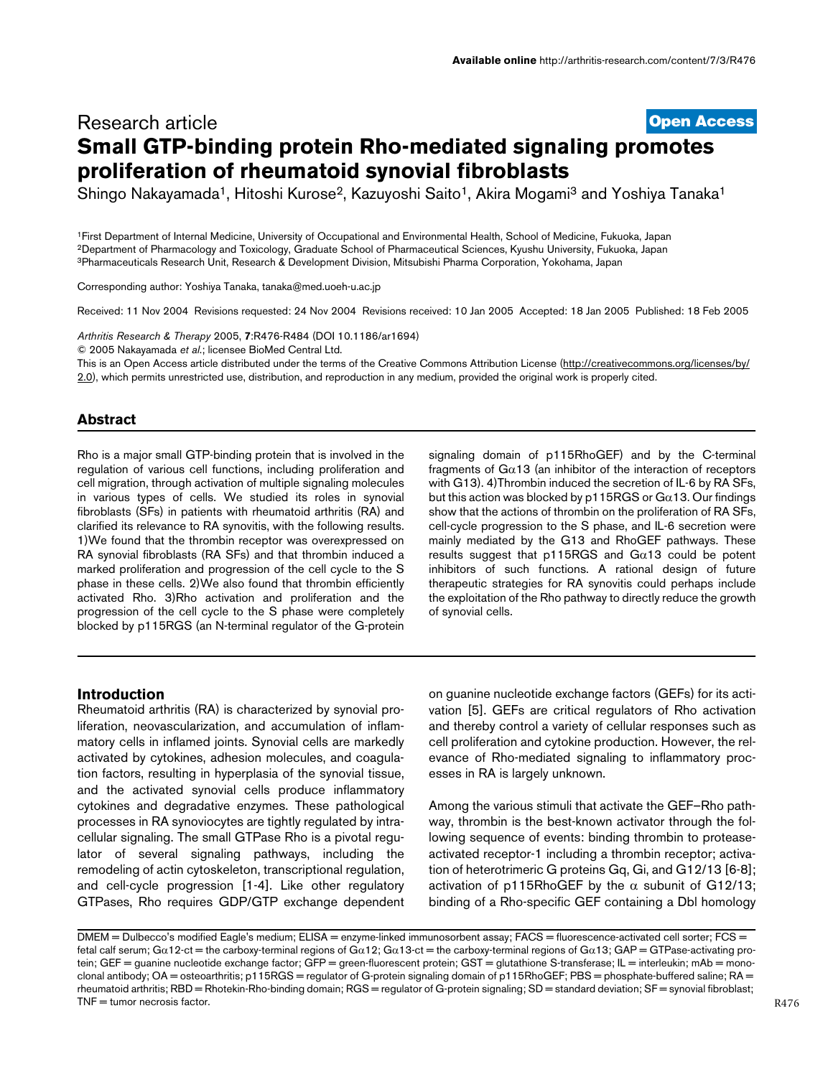# **[Open Access](http://www.biomedcentral.com/info/about/charter/)** Research article **Small GTP-binding protein Rho-mediated signaling promotes proliferation of rheumatoid synovial fibroblasts**

Shingo Nakayamada<sup>1</sup>, Hitoshi Kurose<sup>2</sup>, Kazuyoshi Saito<sup>1</sup>, Akira Mogami<sup>3</sup> and Yoshiya Tanaka<sup>1</sup>

1First Department of Internal Medicine, University of Occupational and Environmental Health, School of Medicine, Fukuoka, Japan 2Department of Pharmacology and Toxicology, Graduate School of Pharmaceutical Sciences, Kyushu University, Fukuoka, Japan 3Pharmaceuticals Research Unit, Research & Development Division, Mitsubishi Pharma Corporation, Yokohama, Japan

Corresponding author: Yoshiya Tanaka, tanaka@med.uoeh-u.ac.jp

Received: 11 Nov 2004 Revisions requested: 24 Nov 2004 Revisions received: 10 Jan 2005 Accepted: 18 Jan 2005 Published: 18 Feb 2005

Arthritis Research & Therapy 2005, **7**:R476-R484 (DOI 10.1186/ar1694)

© 2005 Nakayamada *et al*.; licensee BioMed Central Ltd.

This is an Open Access article distributed under the terms of the Creative Commons Attribution License ([http://creativecommons.org/licenses/by/](http://creativecommons.org/licenses/by/2.0) [2.0\)](http://creativecommons.org/licenses/by/2.0), which permits unrestricted use, distribution, and reproduction in any medium, provided the original work is properly cited.

## **Abstract**

Rho is a major small GTP-binding protein that is involved in the regulation of various cell functions, including proliferation and cell migration, through activation of multiple signaling molecules in various types of cells. We studied its roles in synovial fibroblasts (SFs) in patients with rheumatoid arthritis (RA) and clarified its relevance to RA synovitis, with the following results. 1)We found that the thrombin receptor was overexpressed on RA synovial fibroblasts (RA SFs) and that thrombin induced a marked proliferation and progression of the cell cycle to the S phase in these cells. 2)We also found that thrombin efficiently activated Rho. 3)Rho activation and proliferation and the progression of the cell cycle to the S phase were completely blocked by p115RGS (an N-terminal regulator of the G-protein

signaling domain of p115RhoGEF) and by the C-terminal fragments of  $Ga13$  (an inhibitor of the interaction of receptors with G13). 4)Thrombin induced the secretion of IL-6 by RA SFs, but this action was blocked by p115RGS or  $Ga13$ . Our findings show that the actions of thrombin on the proliferation of RA SFs, cell-cycle progression to the S phase, and IL-6 secretion were mainly mediated by the G13 and RhoGEF pathways. These results suggest that  $p115RGS$  and  $Ga13$  could be potent inhibitors of such functions. A rational design of future therapeutic strategies for RA synovitis could perhaps include the exploitation of the Rho pathway to directly reduce the growth of synovial cells.

## **Introduction**

Rheumatoid arthritis (RA) is characterized by synovial proliferation, neovascularization, and accumulation of inflammatory cells in inflamed joints. Synovial cells are markedly activated by cytokines, adhesion molecules, and coagulation factors, resulting in hyperplasia of the synovial tissue, and the activated synovial cells produce inflammatory cytokines and degradative enzymes. These pathological processes in RA synoviocytes are tightly regulated by intracellular signaling. The small GTPase Rho is a pivotal regulator of several signaling pathways, including the remodeling of actin cytoskeleton, transcriptional regulation, and cell-cycle progression [1-4]. Like other regulatory GTPases, Rho requires GDP/GTP exchange dependent

on guanine nucleotide exchange factors (GEFs) for its activation [5]. GEFs are critical regulators of Rho activation and thereby control a variety of cellular responses such as cell proliferation and cytokine production. However, the relevance of Rho-mediated signaling to inflammatory processes in RA is largely unknown.

Among the various stimuli that activate the GEF–Rho pathway, thrombin is the best-known activator through the following sequence of events: binding thrombin to proteaseactivated receptor-1 including a thrombin receptor; activation of heterotrimeric G proteins Gq, Gi, and G12/13 [6-8]; activation of p115RhoGEF by the  $\alpha$  subunit of G12/13; binding of a Rho-specific GEF containing a Dbl homology

DMEM = Dulbecco's modified Eagle's medium; ELISA = enzyme-linked immunosorbent assay; FACS = fluorescence-activated cell sorter; FCS = fetal calf serum; Gα12-ct = the carboxy-terminal regions of Gα12; Gα13-ct = the carboxy-terminal regions of Gα13; GAP = GTPase-activating protein; GEF = guanine nucleotide exchange factor; GFP = green-fluorescent protein; GST = glutathione S-transferase; IL = interleukin; mAb = monoclonal antibody; OA = osteoarthritis; p115RGS = regulator of G-protein signaling domain of p115RhoGEF; PBS = phosphate-buffered saline; RA = rheumatoid arthritis; RBD = Rhotekin-Rho-binding domain; RGS = regulator of G-protein signaling; SD = standard deviation; SF = synovial fibroblast;  $TNF =$  tumor necrosis factor.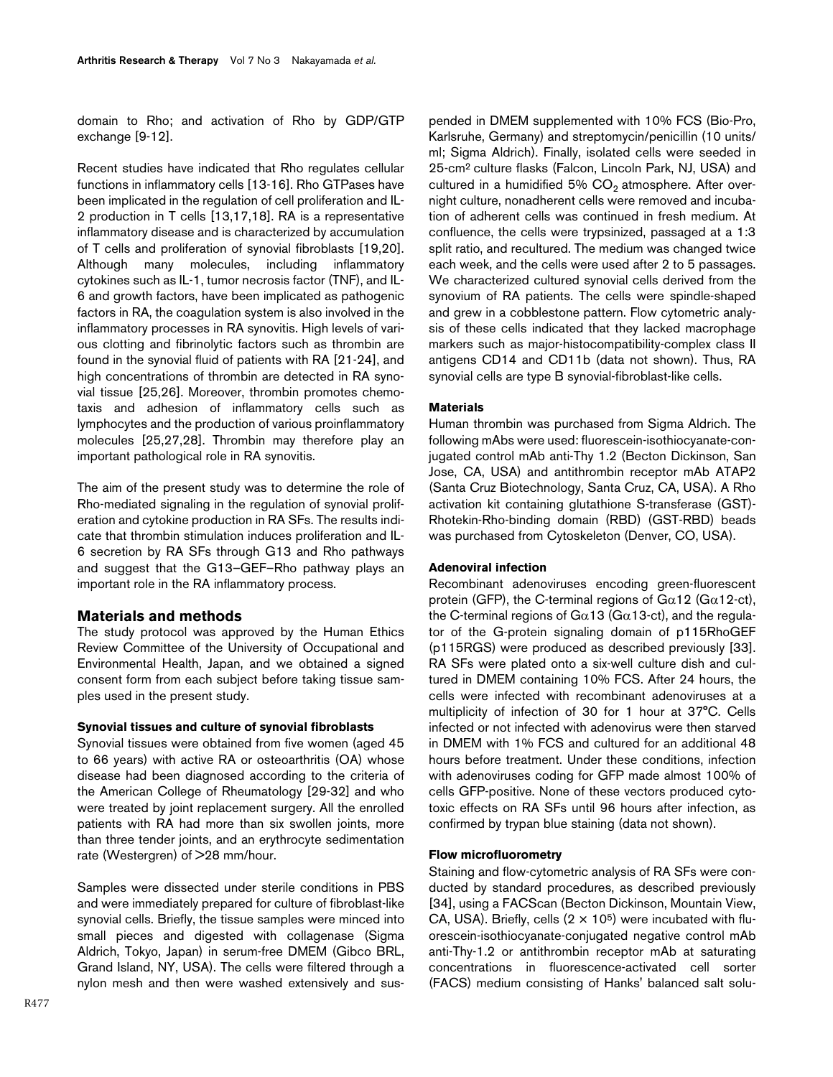domain to Rho; and activation of Rho by GDP/GTP exchange [9-12].

Recent studies have indicated that Rho regulates cellular functions in inflammatory cells [13-16]. Rho GTPases have been implicated in the regulation of cell proliferation and IL-2 production in T cells [13,17,18]. RA is a representative inflammatory disease and is characterized by accumulation of T cells and proliferation of synovial fibroblasts [19,20]. Although many molecules, including inflammatory cytokines such as IL-1, tumor necrosis factor (TNF), and IL-6 and growth factors, have been implicated as pathogenic factors in RA, the coagulation system is also involved in the inflammatory processes in RA synovitis. High levels of various clotting and fibrinolytic factors such as thrombin are found in the synovial fluid of patients with RA [21-24], and high concentrations of thrombin are detected in RA synovial tissue [25,26]. Moreover, thrombin promotes chemotaxis and adhesion of inflammatory cells such as lymphocytes and the production of various proinflammatory molecules [25,27,28]. Thrombin may therefore play an important pathological role in RA synovitis.

The aim of the present study was to determine the role of Rho-mediated signaling in the regulation of synovial proliferation and cytokine production in RA SFs. The results indicate that thrombin stimulation induces proliferation and IL-6 secretion by RA SFs through G13 and Rho pathways and suggest that the G13–GEF–Rho pathway plays an important role in the RA inflammatory process.

## **Materials and methods**

The study protocol was approved by the Human Ethics Review Committee of the University of Occupational and Environmental Health, Japan, and we obtained a signed consent form from each subject before taking tissue samples used in the present study.

### **Synovial tissues and culture of synovial fibroblasts**

Synovial tissues were obtained from five women (aged 45 to 66 years) with active RA or osteoarthritis (OA) whose disease had been diagnosed according to the criteria of the American College of Rheumatology [29-32] and who were treated by joint replacement surgery. All the enrolled patients with RA had more than six swollen joints, more than three tender joints, and an erythrocyte sedimentation rate (Westergren) of >28 mm/hour.

Samples were dissected under sterile conditions in PBS and were immediately prepared for culture of fibroblast-like synovial cells. Briefly, the tissue samples were minced into small pieces and digested with collagenase (Sigma Aldrich, Tokyo, Japan) in serum-free DMEM (Gibco BRL, Grand Island, NY, USA). The cells were filtered through a nylon mesh and then were washed extensively and sus-

pended in DMEM supplemented with 10% FCS (Bio-Pro, Karlsruhe, Germany) and streptomycin/penicillin (10 units/ ml; Sigma Aldrich). Finally, isolated cells were seeded in 25-cm2 culture flasks (Falcon, Lincoln Park, NJ, USA) and cultured in a humidified 5%  $CO<sub>2</sub>$  atmosphere. After overnight culture, nonadherent cells were removed and incubation of adherent cells was continued in fresh medium. At confluence, the cells were trypsinized, passaged at a 1:3 split ratio, and recultured. The medium was changed twice each week, and the cells were used after 2 to 5 passages. We characterized cultured synovial cells derived from the synovium of RA patients. The cells were spindle-shaped and grew in a cobblestone pattern. Flow cytometric analysis of these cells indicated that they lacked macrophage markers such as major-histocompatibility-complex class II antigens CD14 and CD11b (data not shown). Thus, RA synovial cells are type B synovial-fibroblast-like cells.

### **Materials**

Human thrombin was purchased from Sigma Aldrich. The following mAbs were used: fluorescein-isothiocyanate-conjugated control mAb anti-Thy 1.2 (Becton Dickinson, San Jose, CA, USA) and antithrombin receptor mAb ATAP2 (Santa Cruz Biotechnology, Santa Cruz, CA, USA). A Rho activation kit containing glutathione S-transferase (GST)- Rhotekin-Rho-binding domain (RBD) (GST-RBD) beads was purchased from Cytoskeleton (Denver, CO, USA).

### **Adenoviral infection**

Recombinant adenoviruses encoding green-fluorescent protein (GFP), the C-terminal regions of  $G\alpha$ 12 ( $G\alpha$ 12-ct), the C-terminal regions of G $\alpha$ 13 (G $\alpha$ 13-ct), and the regulator of the G-protein signaling domain of p115RhoGEF (p115RGS) were produced as described previously [33]. RA SFs were plated onto a six-well culture dish and cultured in DMEM containing 10% FCS. After 24 hours, the cells were infected with recombinant adenoviruses at a multiplicity of infection of 30 for 1 hour at 37°C. Cells infected or not infected with adenovirus were then starved in DMEM with 1% FCS and cultured for an additional 48 hours before treatment. Under these conditions, infection with adenoviruses coding for GFP made almost 100% of cells GFP-positive. None of these vectors produced cytotoxic effects on RA SFs until 96 hours after infection, as confirmed by trypan blue staining (data not shown).

## **Flow microfluorometry**

Staining and flow-cytometric analysis of RA SFs were conducted by standard procedures, as described previously [34], using a FACScan (Becton Dickinson, Mountain View, CA, USA). Briefly, cells  $(2 \times 10^5)$  were incubated with fluorescein-isothiocyanate-conjugated negative control mAb anti-Thy-1.2 or antithrombin receptor mAb at saturating concentrations in fluorescence-activated cell sorter (FACS) medium consisting of Hanks' balanced salt solu-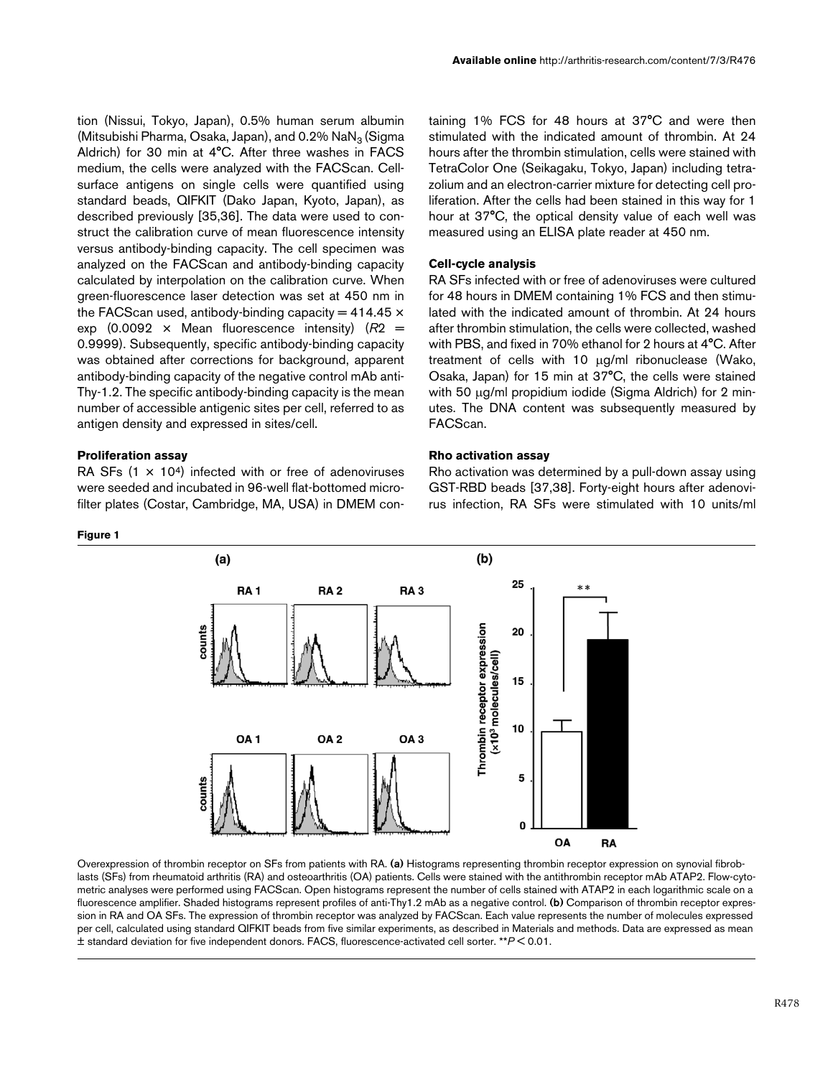tion (Nissui, Tokyo, Japan), 0.5% human serum albumin (Mitsubishi Pharma, Osaka, Japan), and  $0.2\%$  NaN<sub>3</sub> (Sigma Aldrich) for 30 min at 4°C. After three washes in FACS medium, the cells were analyzed with the FACScan. Cellsurface antigens on single cells were quantified using standard beads, QIFKIT (Dako Japan, Kyoto, Japan), as described previously [35,36]. The data were used to construct the calibration curve of mean fluorescence intensity versus antibody-binding capacity. The cell specimen was analyzed on the FACScan and antibody-binding capacity calculated by interpolation on the calibration curve. When green-fluorescence laser detection was set at 450 nm in the FACScan used, antibody-binding capacity  $= 414.45 \times$ exp  $(0.0092 \times \text{Mean fluorescence intensity})$   $(R2 =$ 0.9999). Subsequently, specific antibody-binding capacity was obtained after corrections for background, apparent antibody-binding capacity of the negative control mAb anti-Thy-1.2. The specific antibody-binding capacity is the mean number of accessible antigenic sites per cell, referred to as antigen density and expressed in sites/cell.

## **Proliferation assay**

RA SFs  $(1 \times 10^4)$  infected with or free of adenoviruses were seeded and incubated in 96-well flat-bottomed microfilter plates (Costar, Cambridge, MA, USA) in DMEM con-

#### **Figure 1**

taining 1% FCS for 48 hours at 37°C and were then stimulated with the indicated amount of thrombin. At 24 hours after the thrombin stimulation, cells were stained with TetraColor One (Seikagaku, Tokyo, Japan) including tetrazolium and an electron-carrier mixture for detecting cell proliferation. After the cells had been stained in this way for 1 hour at 37°C, the optical density value of each well was measured using an ELISA plate reader at 450 nm.

#### **Cell-cycle analysis**

RA SFs infected with or free of adenoviruses were cultured for 48 hours in DMEM containing 1% FCS and then stimulated with the indicated amount of thrombin. At 24 hours after thrombin stimulation, the cells were collected, washed with PBS, and fixed in 70% ethanol for 2 hours at 4°C. After treatment of cells with 10 µg/ml ribonuclease (Wako, Osaka, Japan) for 15 min at 37°C, the cells were stained with 50  $\mu$ g/ml propidium iodide (Sigma Aldrich) for 2 minutes. The DNA content was subsequently measured by FACScan.

### **Rho activation assay**

Rho activation was determined by a pull-down assay using GST-RBD beads [37,38]. Forty-eight hours after adenovirus infection, RA SFs were stimulated with 10 units/ml



Overexpression of thrombin receptor on SFs from patients with RA. (a) Histograms representing thrombin receptor expression on synovial fibroblasts (SFs) from rheumatoid arthritis (RA) and osteoarthritis (OA) patients. Cells were stained with the antithrombin receptor mAb ATAP2. Flow-cytometric analyses were performed using FACScan. Open histograms represent the number of cells stained with ATAP2 in each logarithmic scale on a fluorescence amplifier. Shaded histograms represent profiles of anti-Thy1.2 mAb as a negative control. **(b)** Comparison of thrombin receptor expression in RA and OA SFs. The expression of thrombin receptor was analyzed by FACScan. Each value represents the number of molecules expressed per cell, calculated using standard QIFKIT beads from five similar experiments, as described in Materials and methods. Data are expressed as mean ± standard deviation for five independent donors. FACS, fluorescence-activated cell sorter. \*\**P* < 0.01.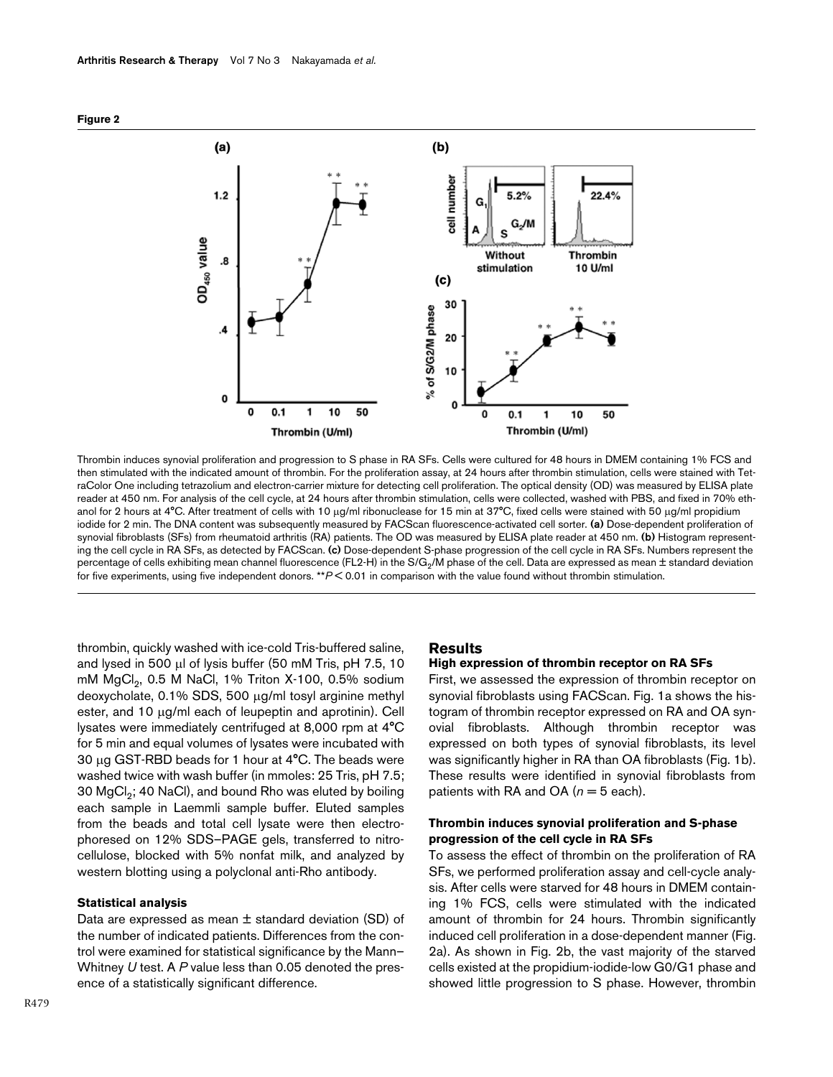



Thrombin induces synovial proliferation and progression to S phase in RA SFs. Cells were cultured for 48 hours in DMEM containing 1% FCS and then stimulated with the indicated amount of thrombin. For the proliferation assay, at 24 hours after thrombin stimulation, cells were stained with TetraColor One including tetrazolium and electron-carrier mixture for detecting cell proliferation. The optical density (OD) was measured by ELISA plate reader at 450 nm. For analysis of the cell cycle, at 24 hours after thrombin stimulation, cells were collected, washed with PBS, and fixed in 70% ethanol for 2 hours at 4°C. After treatment of cells with 10 µg/ml ribonuclease for 15 min at 37°C, fixed cells were stained with 50 µg/ml propidium iodide for 2 min. The DNA content was subsequently measured by FACScan fluorescence-activated cell sorter. **(a)** Dose-dependent proliferation of synovial fibroblasts (SFs) from rheumatoid arthritis (RA) patients. The OD was measured by ELISA plate reader at 450 nm. **(b)** Histogram representing the cell cycle in RA SFs, as detected by FACScan. **(c)** Dose-dependent S-phase progression of the cell cycle in RA SFs. Numbers represent the percentage of cells exhibiting mean channel fluorescence (FL2-H) in the S/G<sub>2</sub>/M phase of the cell. Data are expressed as mean ± standard deviation for five experiments, using five independent donors. \*\**P* < 0.01 in comparison with the value found without thrombin stimulation.

thrombin, quickly washed with ice-cold Tris-buffered saline, and lysed in 500 µl of lysis buffer (50 mM Tris, pH 7.5, 10 mM MgCl<sub>2</sub>, 0.5 M NaCl, 1% Triton X-100, 0.5% sodium deoxycholate, 0.1% SDS, 500 µg/ml tosyl arginine methyl ester, and 10 µg/ml each of leupeptin and aprotinin). Cell lysates were immediately centrifuged at 8,000 rpm at 4°C for 5 min and equal volumes of lysates were incubated with 30 µg GST-RBD beads for 1 hour at 4°C. The beads were washed twice with wash buffer (in mmoles: 25 Tris, pH 7.5; 30  $MgCl<sub>2</sub>$ ; 40 NaCl), and bound Rho was eluted by boiling each sample in Laemmli sample buffer. Eluted samples from the beads and total cell lysate were then electrophoresed on 12% SDS–PAGE gels, transferred to nitrocellulose, blocked with 5% nonfat milk, and analyzed by western blotting using a polyclonal anti-Rho antibody.

### **Statistical analysis**

Data are expressed as mean ± standard deviation (SD) of the number of indicated patients. Differences from the control were examined for statistical significance by the Mann– Whitney *U* test. A *P* value less than 0.05 denoted the presence of a statistically significant difference.

#### **Results**

## **High expression of thrombin receptor on RA SFs**

First, we assessed the expression of thrombin receptor on synovial fibroblasts using FACScan. Fig. 1a shows the histogram of thrombin receptor expressed on RA and OA synovial fibroblasts. Although thrombin receptor was expressed on both types of synovial fibroblasts, its level was significantly higher in RA than OA fibroblasts (Fig. 1b). These results were identified in synovial fibroblasts from patients with RA and OA  $(n = 5$  each).

## **Thrombin induces synovial proliferation and S-phase progression of the cell cycle in RA SFs**

To assess the effect of thrombin on the proliferation of RA SFs, we performed proliferation assay and cell-cycle analysis. After cells were starved for 48 hours in DMEM containing 1% FCS, cells were stimulated with the indicated amount of thrombin for 24 hours. Thrombin significantly induced cell proliferation in a dose-dependent manner (Fig. 2a). As shown in Fig. 2b, the vast majority of the starved cells existed at the propidium-iodide-low G0/G1 phase and showed little progression to S phase. However, thrombin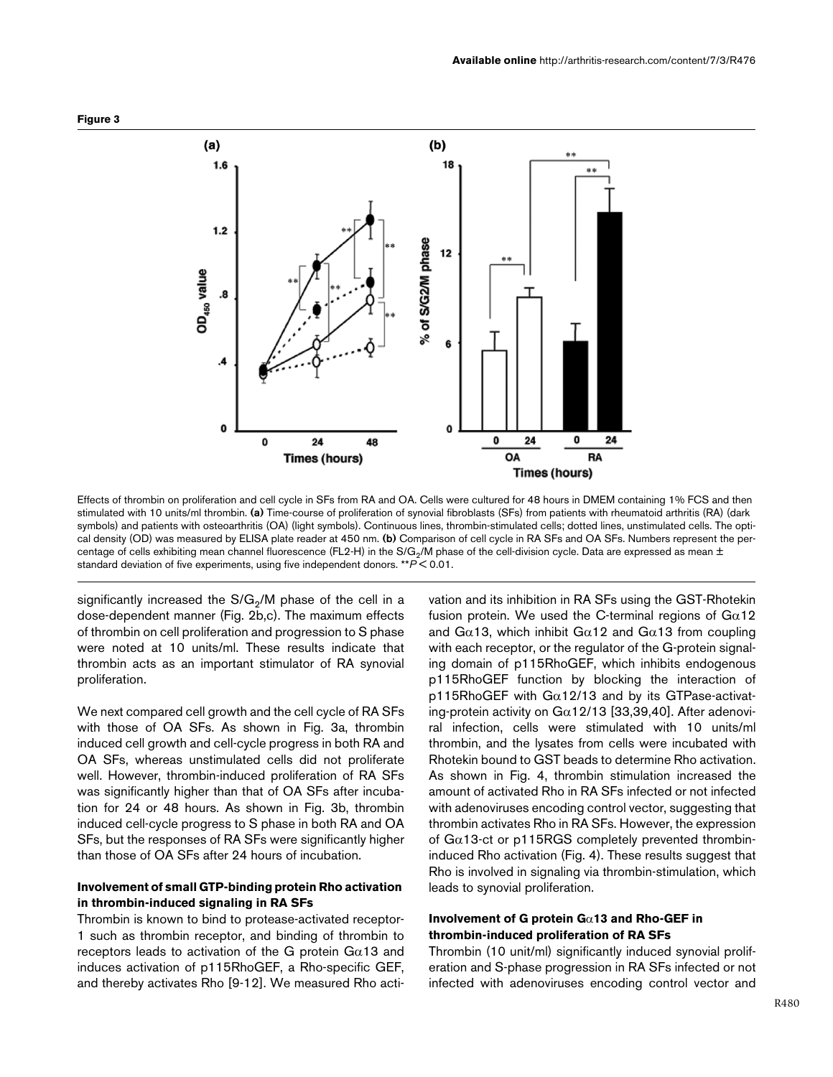

Effects of thrombin on proliferation and cell cycle in SFs from RA and OA. Cells were cultured for 48 hours in DMEM containing 1% FCS and then stimulated with 10 units/ml thrombin. **(a)** Time-course of proliferation of synovial fibroblasts (SFs) from patients with rheumatoid arthritis (RA) (dark symbols) and patients with osteoarthritis (OA) (light symbols). Continuous lines, thrombin-stimulated cells; dotted lines, unstimulated cells. The optical density (OD) was measured by ELISA plate reader at 450 nm. **(b)** Comparison of cell cycle in RA SFs and OA SFs. Numbers represent the percentage of cells exhibiting mean channel fluorescence (FL2-H) in the S/G<sub>2</sub>/M phase of the cell-division cycle. Data are expressed as mean  $\pm$ standard deviation of five experiments, using five independent donors. \*\**P* < 0.01.

significantly increased the  $S/G<sub>2</sub>/M$  phase of the cell in a dose-dependent manner (Fig. 2b,c). The maximum effects of thrombin on cell proliferation and progression to S phase were noted at 10 units/ml. These results indicate that thrombin acts as an important stimulator of RA synovial proliferation.

We next compared cell growth and the cell cycle of RA SFs with those of OA SFs. As shown in Fig. 3a, thrombin induced cell growth and cell-cycle progress in both RA and OA SFs, whereas unstimulated cells did not proliferate well. However, thrombin-induced proliferation of RA SFs was significantly higher than that of OA SFs after incubation for 24 or 48 hours. As shown in Fig. 3b, thrombin induced cell-cycle progress to S phase in both RA and OA SFs, but the responses of RA SFs were significantly higher than those of OA SFs after 24 hours of incubation.

## **Involvement of small GTP-binding protein Rho activation in thrombin-induced signaling in RA SFs**

Thrombin is known to bind to protease-activated receptor-1 such as thrombin receptor, and binding of thrombin to receptors leads to activation of the G protein  $G\alpha$ 13 and induces activation of p115RhoGEF, a Rho-specific GEF, and thereby activates Rho [9-12]. We measured Rho acti-

vation and its inhibition in RA SFs using the GST-Rhotekin fusion protein. We used the C-terminal regions of  $Ga12$ and G $\alpha$ 13, which inhibit G $\alpha$ 12 and G $\alpha$ 13 from coupling with each receptor, or the regulator of the G-protein signaling domain of p115RhoGEF, which inhibits endogenous p115RhoGEF function by blocking the interaction of p115RhoGEF with  $Ga12/13$  and by its GTPase-activating-protein activity on  $G\alpha$ 12/13 [33,39,40]. After adenoviral infection, cells were stimulated with 10 units/ml thrombin, and the lysates from cells were incubated with Rhotekin bound to GST beads to determine Rho activation. As shown in Fig. 4, thrombin stimulation increased the amount of activated Rho in RA SFs infected or not infected with adenoviruses encoding control vector, suggesting that thrombin activates Rho in RA SFs. However, the expression of  $Ga13$ -ct or p115RGS completely prevented thrombininduced Rho activation (Fig. 4). These results suggest that Rho is involved in signaling via thrombin-stimulation, which leads to synovial proliferation.

## **Involvement of G protein G**α**13 and Rho-GEF in thrombin-induced proliferation of RA SFs**

Thrombin (10 unit/ml) significantly induced synovial proliferation and S-phase progression in RA SFs infected or not infected with adenoviruses encoding control vector and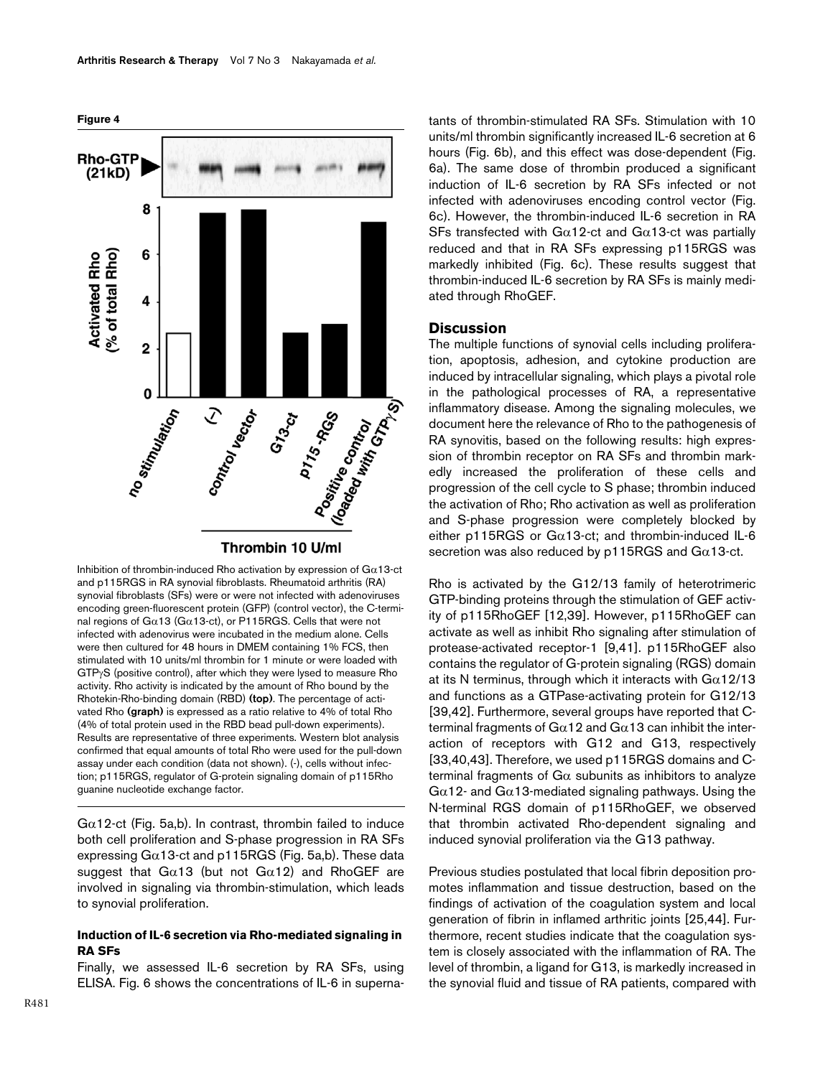

Inhibition of thrombin-induced Rho activation by expression of  $Ga13$ -ct and p115RGS in RA synovial fibroblasts. Rheumatoid arthritis (RA) synovial fibroblasts (SFs) were or were not infected with adenoviruses encoding green-fluorescent protein (GFP) (control vector), the C-terminal regions of Gα13 (Gα13-ct), or P115RGS. Cells that were not infected with adenovirus were incubated in the medium alone. Cells were then cultured for 48 hours in DMEM containing 1% FCS, then stimulated with 10 units/ml thrombin for 1 minute or were loaded with GTPγS (positive control), after which they were lysed to measure Rho activity. Rho activity is indicated by the amount of Rho bound by the Rhotekin-Rho-binding domain (RBD) **(top)**. The percentage of activated Rho **(graph)** is expressed as a ratio relative to 4% of total Rho (4% of total protein used in the RBD bead pull-down experiments). Results are representative of three experiments. Western blot analysis confirmed that equal amounts of total Rho were used for the pull-down assay under each condition (data not shown). (-), cells without infection; p115RGS, regulator of G-protein signaling domain of p115Rho guanine nucleotide exchange factor.

 $Ga12$ -ct (Fig. 5a,b). In contrast, thrombin failed to induce both cell proliferation and S-phase progression in RA SFs expressing  $Ga13$ -ct and p115RGS (Fig. 5a,b). These data suggest that  $Ga13$  (but not  $Ga12$ ) and RhoGEF are involved in signaling via thrombin-stimulation, which leads to synovial proliferation.

# **Induction of IL-6 secretion via Rho-mediated signaling in RA SFs**

Finally, we assessed IL-6 secretion by RA SFs, using ELISA. Fig. 6 shows the concentrations of IL-6 in supernatants of thrombin-stimulated RA SFs. Stimulation with 10 units/ml thrombin significantly increased IL-6 secretion at 6 hours (Fig. 6b), and this effect was dose-dependent (Fig. 6a). The same dose of thrombin produced a significant induction of IL-6 secretion by RA SFs infected or not infected with adenoviruses encoding control vector (Fig. 6c). However, the thrombin-induced IL-6 secretion in RA SFs transfected with G $\alpha$ 12-ct and G $\alpha$ 13-ct was partially reduced and that in RA SFs expressing p115RGS was markedly inhibited (Fig. 6c). These results suggest that thrombin-induced IL-6 secretion by RA SFs is mainly mediated through RhoGEF.

# **Discussion**

The multiple functions of synovial cells including proliferation, apoptosis, adhesion, and cytokine production are induced by intracellular signaling, which plays a pivotal role in the pathological processes of RA, a representative inflammatory disease. Among the signaling molecules, we document here the relevance of Rho to the pathogenesis of RA synovitis, based on the following results: high expression of thrombin receptor on RA SFs and thrombin markedly increased the proliferation of these cells and progression of the cell cycle to S phase; thrombin induced the activation of Rho; Rho activation as well as proliferation and S-phase progression were completely blocked by either p115RGS or G $\alpha$ 13-ct; and thrombin-induced IL-6 secretion was also reduced by  $p115RGS$  and  $Ga13$ -ct.

Rho is activated by the G12/13 family of heterotrimeric GTP-binding proteins through the stimulation of GEF activity of p115RhoGEF [12,39]. However, p115RhoGEF can activate as well as inhibit Rho signaling after stimulation of protease-activated receptor-1 [9,41]. p115RhoGEF also contains the regulator of G-protein signaling (RGS) domain at its N terminus, through which it interacts with  $G\alpha$ 12/13 and functions as a GTPase-activating protein for G12/13 [39,42]. Furthermore, several groups have reported that Cterminal fragments of  $Gα12$  and  $Gα13$  can inhibit the interaction of receptors with G12 and G13, respectively [33,40,43]. Therefore, we used p115RGS domains and Cterminal fragments of  $Ga$  subunits as inhibitors to analyze  $G\alpha$ 12- and  $G\alpha$ 13-mediated signaling pathways. Using the N-terminal RGS domain of p115RhoGEF, we observed that thrombin activated Rho-dependent signaling and induced synovial proliferation via the G13 pathway.

Previous studies postulated that local fibrin deposition promotes inflammation and tissue destruction, based on the findings of activation of the coagulation system and local generation of fibrin in inflamed arthritic joints [25,44]. Furthermore, recent studies indicate that the coagulation system is closely associated with the inflammation of RA. The level of thrombin, a ligand for G13, is markedly increased in the synovial fluid and tissue of RA patients, compared with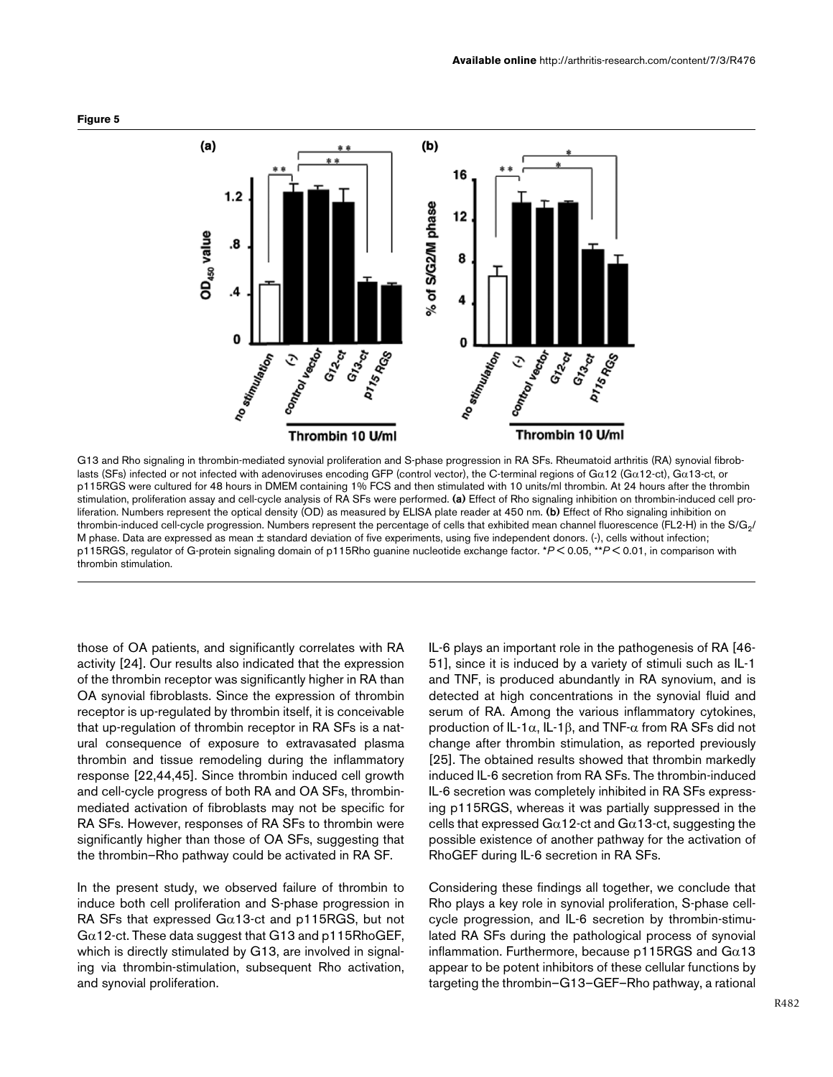



G13 and Rho signaling in thrombin-mediated synovial proliferation and S-phase progression in RA SFs. Rheumatoid arthritis (RA) synovial fibroblasts (SFs) infected or not infected with adenoviruses encoding GFP (control vector), the C-terminal regions of Gα12 (Gα12-ct), Gα13-ct, or p115RGS were cultured for 48 hours in DMEM containing 1% FCS and then stimulated with 10 units/ml thrombin. At 24 hours after the thrombin stimulation, proliferation assay and cell-cycle analysis of RA SFs were performed. **(a)** Effect of Rho signaling inhibition on thrombin-induced cell proliferation. Numbers represent the optical density (OD) as measured by ELISA plate reader at 450 nm. **(b)** Effect of Rho signaling inhibition on thrombin-induced cell-cycle progression. Numbers represent the percentage of cells that exhibited mean channel fluorescence (FL2-H) in the S/G<sub>2</sub>/ M phase. Data are expressed as mean ± standard deviation of five experiments, using five independent donors. (-), cells without infection; p115RGS, regulator of G-protein signaling domain of p115Rho guanine nucleotide exchange factor. \**P* < 0.05, \*\**P* < 0.01, in comparison with thrombin stimulation.

those of OA patients, and significantly correlates with RA activity [24]. Our results also indicated that the expression of the thrombin receptor was significantly higher in RA than OA synovial fibroblasts. Since the expression of thrombin receptor is up-regulated by thrombin itself, it is conceivable that up-regulation of thrombin receptor in RA SFs is a natural consequence of exposure to extravasated plasma thrombin and tissue remodeling during the inflammatory response [22,44,45]. Since thrombin induced cell growth and cell-cycle progress of both RA and OA SFs, thrombinmediated activation of fibroblasts may not be specific for RA SFs. However, responses of RA SFs to thrombin were significantly higher than those of OA SFs, suggesting that the thrombin–Rho pathway could be activated in RA SF.

In the present study, we observed failure of thrombin to induce both cell proliferation and S-phase progression in RA SFs that expressed G $\alpha$ 13-ct and p115RGS, but not  $Ga12$ -ct. These data suggest that G13 and p115RhoGEF, which is directly stimulated by G13, are involved in signaling via thrombin-stimulation, subsequent Rho activation, and synovial proliferation.

IL-6 plays an important role in the pathogenesis of RA [46- 51], since it is induced by a variety of stimuli such as IL-1 and TNF, is produced abundantly in RA synovium, and is detected at high concentrations in the synovial fluid and serum of RA. Among the various inflammatory cytokines, production of IL-1α, IL-1β, and TNF-α from RA SFs did not change after thrombin stimulation, as reported previously [25]. The obtained results showed that thrombin markedly induced IL-6 secretion from RA SFs. The thrombin-induced IL-6 secretion was completely inhibited in RA SFs expressing p115RGS, whereas it was partially suppressed in the cells that expressed  $Ga12$ -ct and  $Ga13$ -ct, suggesting the possible existence of another pathway for the activation of RhoGEF during IL-6 secretion in RA SFs.

Considering these findings all together, we conclude that Rho plays a key role in synovial proliferation, S-phase cellcycle progression, and IL-6 secretion by thrombin-stimulated RA SFs during the pathological process of synovial inflammation. Furthermore, because  $p115RGS$  and  $Ga13$ appear to be potent inhibitors of these cellular functions by targeting the thrombin–G13–GEF–Rho pathway, a rational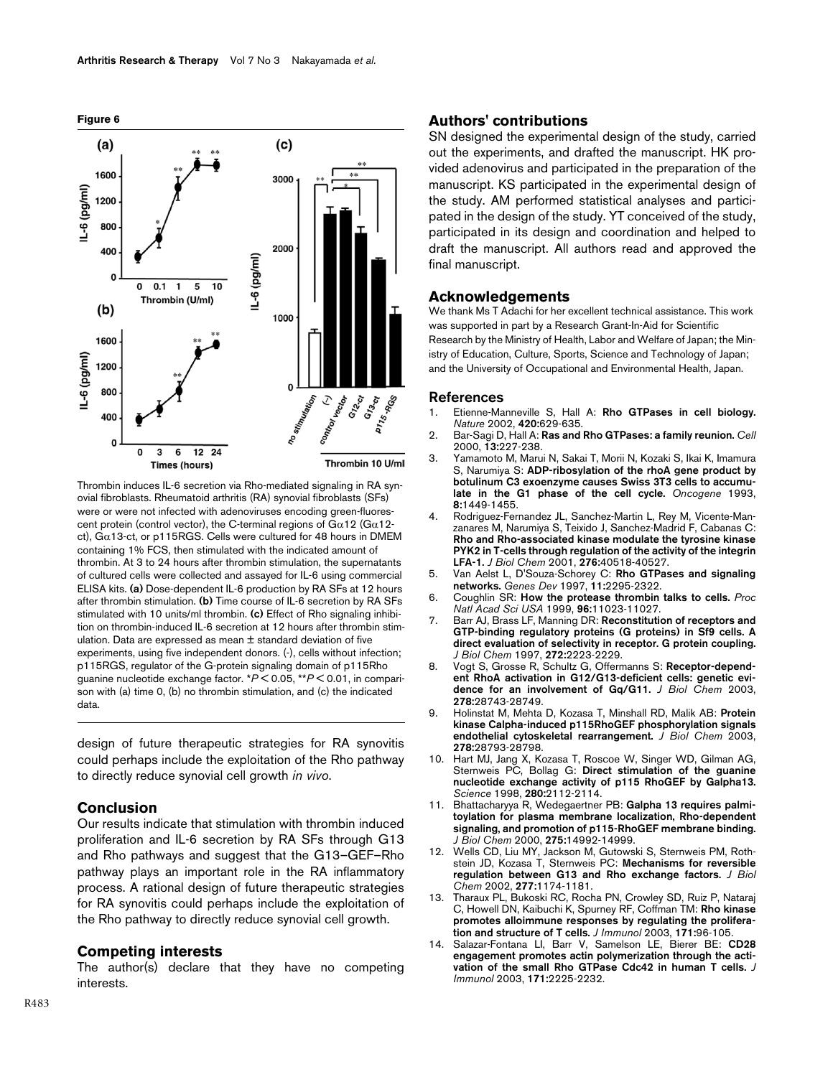

Thrombin induces IL-6 secretion via Rho-mediated signaling in RA synovial fibroblasts. Rheumatoid arthritis (RA) synovial fibroblasts (SFs) were or were not infected with adenoviruses encoding green-fluorescent protein (control vector), the C-terminal regions of  $G\alpha$ 12 ( $G\alpha$ 12ct),  $G\alpha$ 13-ct, or p115RGS. Cells were cultured for 48 hours in DMEM containing 1% FCS, then stimulated with the indicated amount of thrombin. At 3 to 24 hours after thrombin stimulation, the supernatants of cultured cells were collected and assayed for IL-6 using commercial ELISA kits. **(a)** Dose-dependent IL-6 production by RA SFs at 12 hours after thrombin stimulation. **(b)** Time course of IL-6 secretion by RA SFs stimulated with 10 units/ml thrombin. **(c)** Effect of Rho signaling inhibition on thrombin-induced IL-6 secretion at 12 hours after thrombin stimulation. Data are expressed as mean ± standard deviation of five experiments, using five independent donors. (-), cells without infection; p115RGS, regulator of the G-protein signaling domain of p115Rho guanine nucleotide exchange factor. \**P* < 0.05, \*\**P* < 0.01, in comparison with (a) time 0, (b) no thrombin stimulation, and (c) the indicated data.

design of future therapeutic strategies for RA synovitis could perhaps include the exploitation of the Rho pathway to directly reduce synovial cell growth *in vivo*.

# **Conclusion**

Our results indicate that stimulation with thrombin induced proliferation and IL-6 secretion by RA SFs through G13 and Rho pathways and suggest that the G13–GEF–Rho pathway plays an important role in the RA inflammatory process. A rational design of future therapeutic strategies for RA synovitis could perhaps include the exploitation of the Rho pathway to directly reduce synovial cell growth.

## **Competing interests**

The author(s) declare that they have no competing interests.

### **Authors' contributions**

SN designed the experimental design of the study, carried out the experiments, and drafted the manuscript. HK provided adenovirus and participated in the preparation of the manuscript. KS participated in the experimental design of the study. AM performed statistical analyses and participated in the design of the study. YT conceived of the study, participated in its design and coordination and helped to draft the manuscript. All authors read and approved the final manuscript.

#### **Acknowledgements**

We thank Ms T Adachi for her excellent technical assistance. This work was supported in part by a Research Grant-In-Aid for Scientific Research by the Ministry of Health, Labor and Welfare of Japan; the Ministry of Education, Culture, Sports, Science and Technology of Japan; and the University of Occupational and Environmental Health, Japan.

#### **References**

- 1. Etienne-Manneville S, Hall A: **[Rho GTPases in cell biology.](http://www.ncbi.nlm.nih.gov/entrez/query.fcgi?cmd=Retrieve&db=PubMed&dopt=Abstract&list_uids=12478284)** *Nature* 2002, **420:**629-635.
- 2. Bar-Sagi D, Hall A: **Ras and Rho GTPases: a family reunion.** *Cell* 2000, **13:**227-238.
- 3. Yamamoto M, Marui N, Sakai T, Morii N, Kozaki S, Ikai K, Imamura S, Narumiya S: **[ADP-ribosylation of the rhoA gene product by](http://www.ncbi.nlm.nih.gov/entrez/query.fcgi?cmd=Retrieve&db=PubMed&dopt=Abstract&list_uids=8502473) [botulinum C3 exoenzyme causes Swiss 3T3 cells to accumu](http://www.ncbi.nlm.nih.gov/entrez/query.fcgi?cmd=Retrieve&db=PubMed&dopt=Abstract&list_uids=8502473)[late in the G1 phase of the cell cycle.](http://www.ncbi.nlm.nih.gov/entrez/query.fcgi?cmd=Retrieve&db=PubMed&dopt=Abstract&list_uids=8502473)** *Oncogene* 1993, **8:**1449-1455.
- 4. Rodriguez-Fernandez JL, Sanchez-Martin L, Rey M, Vicente-Manzanares M, Narumiya S, Teixido J, Sanchez-Madrid F, Cabanas C: **Rho and Rho-associated kinase modulate the tyrosine kinase [PYK2 in T-cells through regulation of the activity of the integrin](http://www.ncbi.nlm.nih.gov/entrez/query.fcgi?cmd=Retrieve&db=PubMed&dopt=Abstract&list_uids=11489881) [LFA-1.](http://www.ncbi.nlm.nih.gov/entrez/query.fcgi?cmd=Retrieve&db=PubMed&dopt=Abstract&list_uids=11489881)** *J Biol Chem* 2001, **276:**40518-40527.
- 5. Van Aelst L, D'Souza-Schorey C: **[Rho GTPases and signaling](http://www.ncbi.nlm.nih.gov/entrez/query.fcgi?cmd=Retrieve&db=PubMed&dopt=Abstract&list_uids=9308960) [networks.](http://www.ncbi.nlm.nih.gov/entrez/query.fcgi?cmd=Retrieve&db=PubMed&dopt=Abstract&list_uids=9308960)** *Genes Dev* 1997, **11:**2295-2322.
- 6. Coughlin SR: **[How the protease thrombin talks to cells.](http://www.ncbi.nlm.nih.gov/entrez/query.fcgi?cmd=Retrieve&db=PubMed&dopt=Abstract&list_uids=10500117)** *Proc Natl Acad Sci USA* 1999, **96:**11023-11027.
- 7. Barr AJ, Brass LF, Manning DR: **[Reconstitution of receptors and](http://www.ncbi.nlm.nih.gov/entrez/query.fcgi?cmd=Retrieve&db=PubMed&dopt=Abstract&list_uids=8999927) GTP-binding regulatory proteins (G proteins) in Sf9 cells. A [direct evaluation of selectivity in receptor. G protein coupling.](http://www.ncbi.nlm.nih.gov/entrez/query.fcgi?cmd=Retrieve&db=PubMed&dopt=Abstract&list_uids=8999927)** *J Biol Chem* 1997, **272:**2223-2229.
- 8. Vogt S, Grosse R, Schultz G, Offermanns S: **[Receptor-depend](http://www.ncbi.nlm.nih.gov/entrez/query.fcgi?cmd=Retrieve&db=PubMed&dopt=Abstract&list_uids=12771155)[ent RhoA activation in G12/G13-deficient cells: genetic evi](http://www.ncbi.nlm.nih.gov/entrez/query.fcgi?cmd=Retrieve&db=PubMed&dopt=Abstract&list_uids=12771155)[dence for an involvement of Gq/G11.](http://www.ncbi.nlm.nih.gov/entrez/query.fcgi?cmd=Retrieve&db=PubMed&dopt=Abstract&list_uids=12771155)** *J Biol Chem* 2003, **278:**28743-28749.
- 9. Holinstat M, Mehta D, Kozasa T, Minshall RD, Malik AB: **[Protein](http://www.ncbi.nlm.nih.gov/entrez/query.fcgi?cmd=Retrieve&db=PubMed&dopt=Abstract&list_uids=12754211) [kinase Calpha-induced p115RhoGEF phosphorylation signals](http://www.ncbi.nlm.nih.gov/entrez/query.fcgi?cmd=Retrieve&db=PubMed&dopt=Abstract&list_uids=12754211) [endothelial cytoskeletal rearrangement.](http://www.ncbi.nlm.nih.gov/entrez/query.fcgi?cmd=Retrieve&db=PubMed&dopt=Abstract&list_uids=12754211)** *J Biol Chem* 2003, **278:**28793-28798.
- 10. Hart MJ, Jang X, Kozasa T, Roscoe W, Singer WD, Gilman AG, Sternweis PC, Bollag G: **[Direct stimulation of the guanine](http://www.ncbi.nlm.nih.gov/entrez/query.fcgi?cmd=Retrieve&db=PubMed&dopt=Abstract&list_uids=9641916) [nucleotide exchange activity of p115 RhoGEF by Galpha13.](http://www.ncbi.nlm.nih.gov/entrez/query.fcgi?cmd=Retrieve&db=PubMed&dopt=Abstract&list_uids=9641916)** *Science* 1998, **280:**2112-2114.
- 11. Bhattacharyya R, Wedegaertner PB: **[Galpha 13 requires palmi](http://www.ncbi.nlm.nih.gov/entrez/query.fcgi?cmd=Retrieve&db=PubMed&dopt=Abstract&list_uids=10747909)toylation for plasma membrane localization, Rho-dependent [signaling, and promotion of p115-RhoGEF membrane binding.](http://www.ncbi.nlm.nih.gov/entrez/query.fcgi?cmd=Retrieve&db=PubMed&dopt=Abstract&list_uids=10747909)** *J Biol Chem* 2000, **275:**14992-14999.
- 12. Wells CD, Liu MY, Jackson M, Gutowski S, Sternweis PM, Rothstein JD, Kozasa T, Sternweis PC: **[Mechanisms for reversible](http://www.ncbi.nlm.nih.gov/entrez/query.fcgi?cmd=Retrieve&db=PubMed&dopt=Abstract&list_uids=11698392) [regulation between G13 and Rho exchange factors.](http://www.ncbi.nlm.nih.gov/entrez/query.fcgi?cmd=Retrieve&db=PubMed&dopt=Abstract&list_uids=11698392)** *J Biol Chem* 2002, **277:**1174-1181.
- 13. Tharaux PL, Bukoski RC, Rocha PN, Crowley SD, Ruiz P, Nataraj C, Howell DN, Kaibuchi K, Spurney RF, Coffman TM: **[Rho kinase](http://www.ncbi.nlm.nih.gov/entrez/query.fcgi?cmd=Retrieve&db=PubMed&dopt=Abstract&list_uids=12816987) [promotes alloimmune responses by regulating the prolifera](http://www.ncbi.nlm.nih.gov/entrez/query.fcgi?cmd=Retrieve&db=PubMed&dopt=Abstract&list_uids=12816987)[tion and structure of T cells.](http://www.ncbi.nlm.nih.gov/entrez/query.fcgi?cmd=Retrieve&db=PubMed&dopt=Abstract&list_uids=12816987)** *J Immunol* 2003, **171:**96-105.
- 14. Salazar-Fontana LI, Barr V, Samelson LE, Bierer BE: **[CD28](http://www.ncbi.nlm.nih.gov/entrez/query.fcgi?cmd=Retrieve&db=PubMed&dopt=Abstract&list_uids=12928366) [engagement promotes actin polymerization through the acti](http://www.ncbi.nlm.nih.gov/entrez/query.fcgi?cmd=Retrieve&db=PubMed&dopt=Abstract&list_uids=12928366)[vation of the small Rho GTPase Cdc42 in human T cells.](http://www.ncbi.nlm.nih.gov/entrez/query.fcgi?cmd=Retrieve&db=PubMed&dopt=Abstract&list_uids=12928366)** *J Immunol* 2003, **171:**2225-2232.